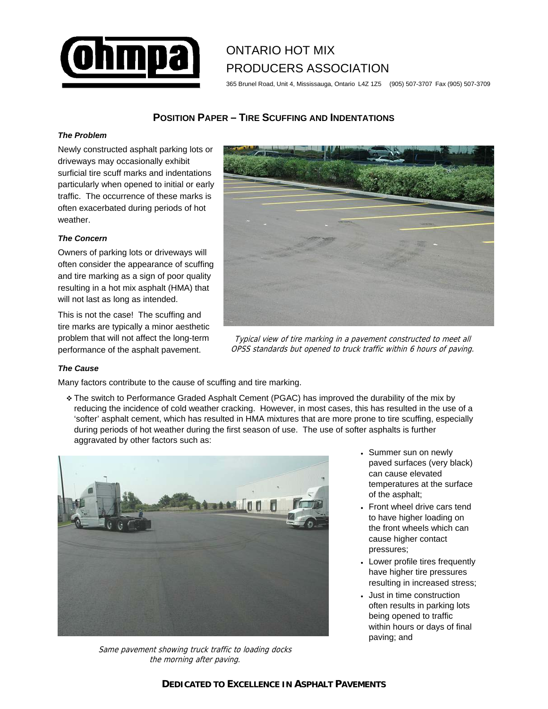

# ONTARIO HOT MIX PRODUCERS ASSOCIATION

365 Brunel Road, Unit 4, Mississauga, Ontario L4Z 1Z5 (905) 507-3707 Fax (905) 507-3709

# **POSITION PAPER – TIRE SCUFFING AND INDENTATIONS**

## *The Problem*

Newly constructed asphalt parking lots or driveways may occasionally exhibit surficial tire scuff marks and indentations particularly when opened to initial or early traffic. The occurrence of these marks is often exacerbated during periods of hot weather.

## *The Concern*

Owners of parking lots or driveways will often consider the appearance of scuffing and tire marking as a sign of poor quality resulting in a hot mix asphalt (HMA) that will not last as long as intended.

This is not the case! The scuffing and tire marks are typically a minor aesthetic problem that will not affect the long-term performance of the asphalt pavement.



Typical view of tire marking in a pavement constructed to meet all OPSS standards but opened to truck traffic within 6 hours of paving.

#### *The Cause*

Many factors contribute to the cause of scuffing and tire marking.

 The switch to Performance Graded Asphalt Cement (PGAC) has improved the durability of the mix by reducing the incidence of cold weather cracking. However, in most cases, this has resulted in the use of a 'softer' asphalt cement, which has resulted in HMA mixtures that are more prone to tire scuffing, especially during periods of hot weather during the first season of use. The use of softer asphalts is further aggravated by other factors such as:



Same pavement showing truck traffic to loading docks the morning after paving.

- Summer sun on newly paved surfaces (very black) can cause elevated temperatures at the surface of the asphalt;
- Front wheel drive cars tend to have higher loading on the front wheels which can cause higher contact pressures;
- Lower profile tires frequently have higher tire pressures resulting in increased stress;
- Just in time construction often results in parking lots being opened to traffic within hours or days of final paving; and